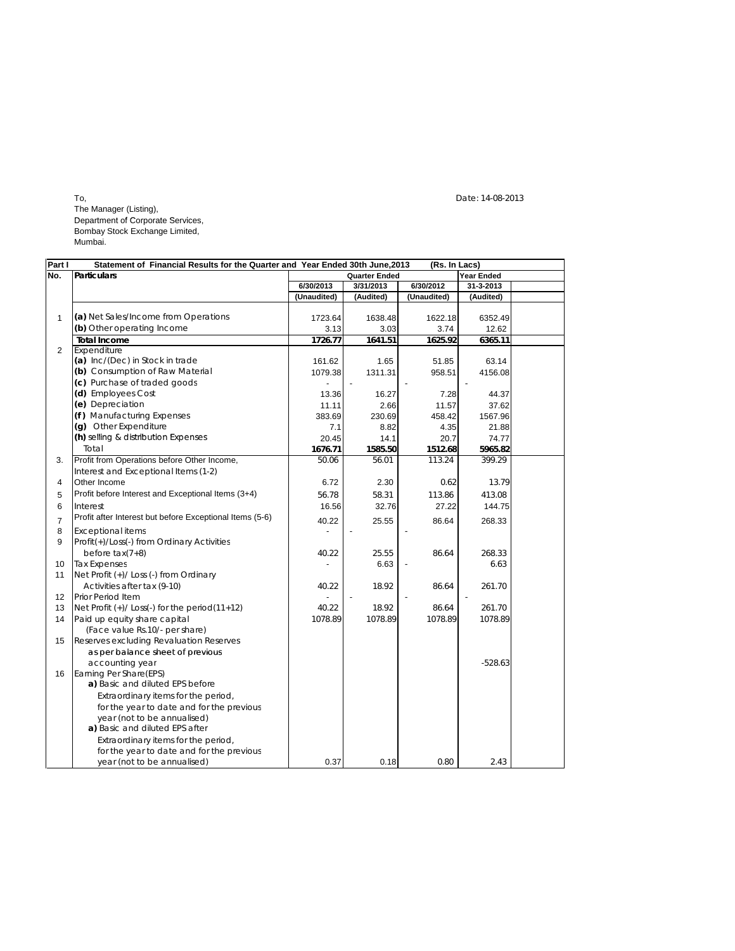To, Date: 14-08-2013 The Manager (Listing), Department of Corporate Services, Bombay Stock Exchange Limited, Mumbai.

| Part I         | Statement of Financial Results for the Quarter and Year Ended 30th June, 2013 |                      |           | (Rs. In Lacs) |            |  |
|----------------|-------------------------------------------------------------------------------|----------------------|-----------|---------------|------------|--|
| No.            | <b>Particulars</b>                                                            | <b>Quarter Ended</b> |           |               | Year Ended |  |
|                |                                                                               | 6/30/2013            | 3/31/2013 | 6/30/2012     | 31-3-2013  |  |
|                |                                                                               | (Unaudited)          | (Audited) | (Unaudited)   | (Audited)  |  |
|                |                                                                               |                      |           |               |            |  |
| 1              | (a) Net Sales/Income from Operations                                          | 1723.64              | 1638.48   | 1622.18       | 6352.49    |  |
|                | (b) Other operating Income                                                    | 3.13                 | 3.03      | 3.74          | 12.62      |  |
|                | <b>Total Income</b>                                                           | 1726.77              | 1641.51   | 1625.92       | 6365.11    |  |
| $\overline{2}$ | Expenditure                                                                   |                      |           |               |            |  |
|                | (a) Inc/(Dec) in Stock in trade                                               | 161.62               | 1.65      | 51.85         | 63.14      |  |
|                | (b) Consumption of Raw Material                                               | 1079.38              | 1311.31   | 958.51        | 4156.08    |  |
|                | (c) Purchase of traded goods                                                  |                      |           |               |            |  |
|                | (d) Employees Cost                                                            | 13.36                | 16.27     | 7.28          | 44.37      |  |
|                | (e) Depreciation                                                              | 11.11                | 2.66      | 11.57         | 37.62      |  |
|                | (f) Manufacturing Expenses                                                    | 383.69               | 230.69    | 458.42        | 1567.96    |  |
|                | (g) Other Expenditure                                                         | 7.1                  | 8.82      | 4.35          | 21.88      |  |
|                | (h) selling & distribution Expenses                                           | 20.45                | 14.1      | 20.7          | 74.77      |  |
|                | Total                                                                         | 1676.71              | 1585.50   | 1512.68       | 5965.82    |  |
| 3.             | Profit from Operations before Other Income,                                   | 50.06                | 56.01     | 113.24        | 399.29     |  |
|                | Interest and Exceptional Items (1-2)                                          |                      |           |               |            |  |
| 4              | Other Income                                                                  | 6.72                 | 2.30      | 0.62          | 13.79      |  |
| 5              | Profit before Interest and Exceptional Items (3+4)                            | 56.78                | 58.31     | 113.86        | 413.08     |  |
| 6              | Interest                                                                      | 16.56                | 32.76     | 27.22         | 144.75     |  |
| $\overline{7}$ | Profit after Interest but before Exceptional Items (5-6)                      | 40.22                | 25.55     | 86.64         | 268.33     |  |
| 8              | <b>Exceptional items</b>                                                      |                      |           |               |            |  |
| 9              | Profit(+)/Loss(-) from Ordinary Activities                                    |                      |           |               |            |  |
|                | before $tax(7+8)$                                                             | 40.22                | 25.55     | 86.64         | 268.33     |  |
| 10             | <b>Tax Expenses</b>                                                           |                      | 6.63      |               | 6.63       |  |
| 11             | Net Profit (+)/ Loss (-) from Ordinary                                        |                      |           |               |            |  |
|                | Activities after tax (9-10)                                                   | 40.22                | 18.92     | 86.64         | 261.70     |  |
| 12             | Prior Period Item                                                             |                      |           |               |            |  |
| 13             | Net Profit $(+)/$ Loss(-) for the period(11+12)                               | 40.22                | 18.92     | 86.64         | 261.70     |  |
| 14             | Paid up equity share capital                                                  | 1078.89              | 1078.89   | 1078.89       | 1078.89    |  |
|                | (Face value Rs.10/- per share)                                                |                      |           |               |            |  |
| 15             | Reserves excluding Revaluation Reserves                                       |                      |           |               |            |  |
|                | as per balance sheet of previous                                              |                      |           |               |            |  |
|                | accounting year                                                               |                      |           |               | $-528.63$  |  |
| 16             | Earning Per Share(EPS)                                                        |                      |           |               |            |  |
|                | a) Basic and diluted EPS before                                               |                      |           |               |            |  |
|                | Extraordinary items for the period,                                           |                      |           |               |            |  |
|                | for the year to date and for the previous                                     |                      |           |               |            |  |
|                | year (not to be annualised)                                                   |                      |           |               |            |  |
|                | a) Basic and diluted EPS after                                                |                      |           |               |            |  |
|                | Extraordinary items for the period,                                           |                      |           |               |            |  |
|                | for the year to date and for the previous                                     |                      |           |               |            |  |
|                | year (not to be annualised)                                                   | 0.37                 | 0.18      | 0.80          | 2.43       |  |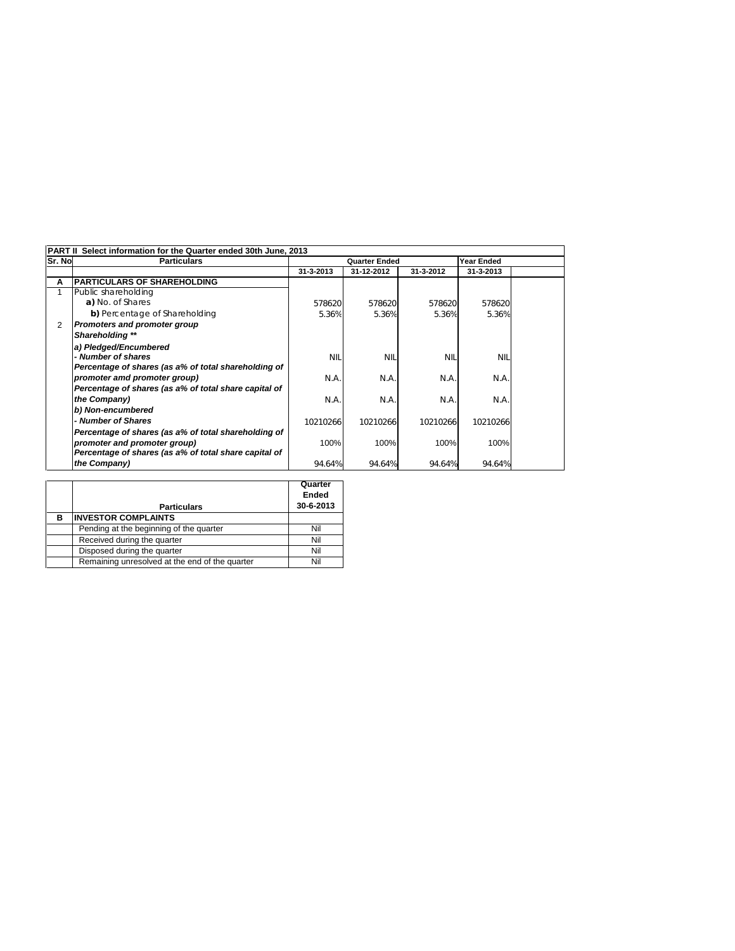| <b>PART II</b><br>Select information for the Quarter ended 30th June, 2013 |                                                       |                                                              |            |                                |            |  |
|----------------------------------------------------------------------------|-------------------------------------------------------|--------------------------------------------------------------|------------|--------------------------------|------------|--|
| Sr. No                                                                     | <b>Particulars</b>                                    | <b>Quarter Ended</b><br>31-3-2013<br>31-12-2012<br>31-3-2012 |            | <b>Year Ended</b><br>31-3-2013 |            |  |
| Α                                                                          | <b>PARTICULARS OF SHAREHOLDING</b>                    |                                                              |            |                                |            |  |
|                                                                            | Public shareholding                                   |                                                              |            |                                |            |  |
|                                                                            | a) No. of Shares                                      | 578620                                                       | 578620     | 578620                         | 578620     |  |
|                                                                            | b) Percentage of Shareholding                         | 5.36%                                                        | 5.36%      | 5.36%                          | 5.36%      |  |
| 2                                                                          | Promoters and promoter group                          |                                                              |            |                                |            |  |
|                                                                            | Shareholding **                                       |                                                              |            |                                |            |  |
|                                                                            | a) Pledged/Encumbered                                 |                                                              |            |                                |            |  |
|                                                                            | - Number of shares                                    | <b>NIL</b>                                                   | <b>NIL</b> | <b>NII</b>                     | <b>NIL</b> |  |
|                                                                            | Percentage of shares (as a% of total shareholding of  |                                                              |            |                                |            |  |
|                                                                            | promoter amd promoter group)                          | N.A.                                                         | N.A.       | N.A.                           | N.A.       |  |
|                                                                            | Percentage of shares (as a% of total share capital of |                                                              |            |                                |            |  |
|                                                                            | the Company)                                          | N.A.                                                         | N.A.       | N.A.                           | N.A.       |  |
|                                                                            | b) Non-encumbered                                     |                                                              |            |                                |            |  |
|                                                                            | - Number of Shares                                    | 10210266                                                     | 10210266   | 10210266                       | 10210266   |  |
|                                                                            | Percentage of shares (as a% of total shareholding of  |                                                              |            |                                |            |  |
|                                                                            | promoter and promoter group)                          | 100%                                                         | 100%       | 100%                           | 100%       |  |
|                                                                            | Percentage of shares (as a% of total share capital of |                                                              |            |                                |            |  |
|                                                                            | the Company)                                          | 94.64%                                                       | 94.64%     | 94.64%                         | 94.64%     |  |

|   |                                                | Quarter   |  |
|---|------------------------------------------------|-----------|--|
|   |                                                | Ended     |  |
|   | <b>Particulars</b>                             | 30-6-2013 |  |
| в | <b>INVESTOR COMPLAINTS</b>                     |           |  |
|   | Pending at the beginning of the quarter        | Nil       |  |
|   | Received during the quarter                    | Nil       |  |
|   | Disposed during the quarter                    | Nil       |  |
|   | Remaining unresolved at the end of the quarter | Nil       |  |